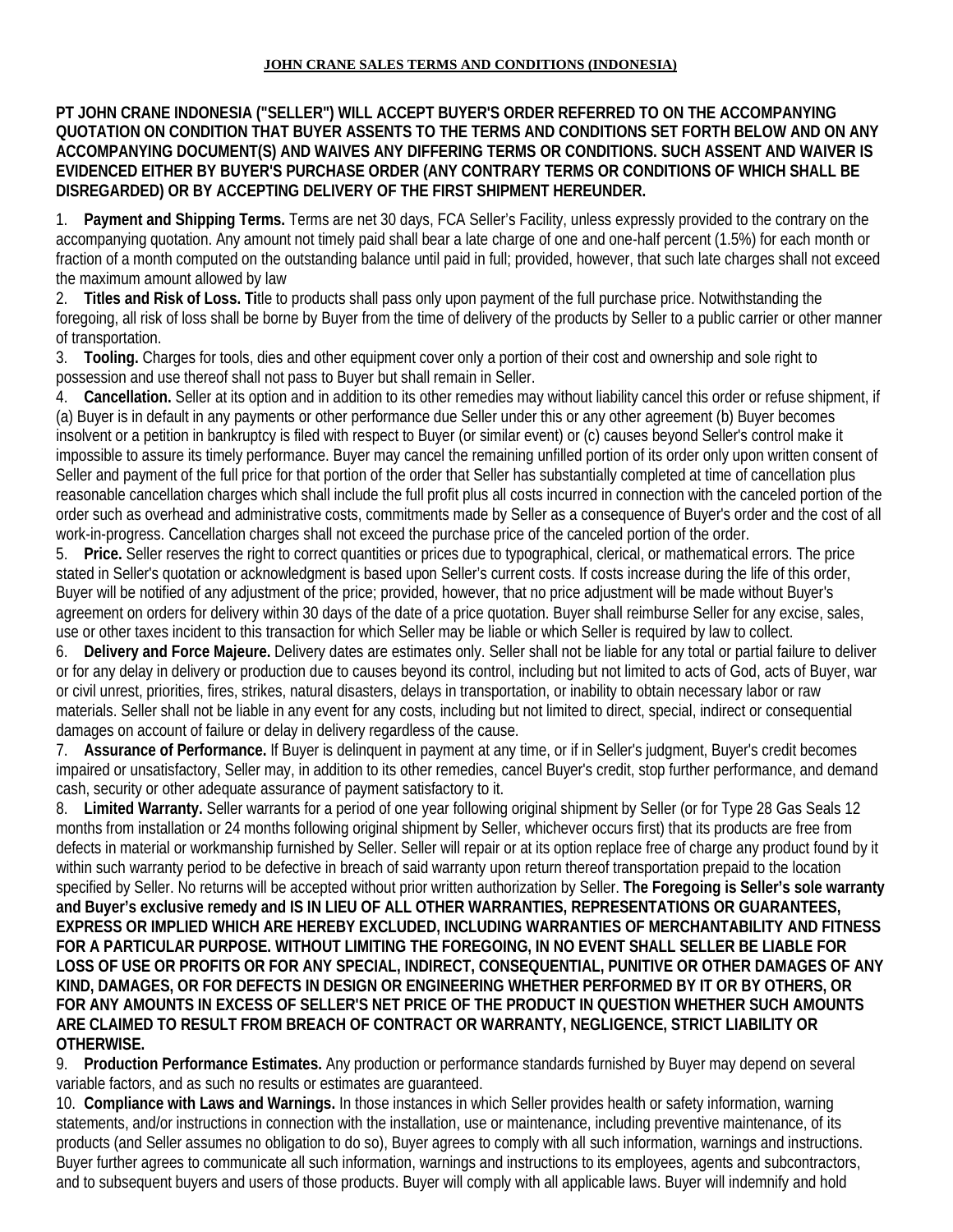## **JOHN CRANE SALES TERMS AND CONDITIONS (INDONESIA)**

## **PT JOHN CRANE INDONESIA ("SELLER") WILL ACCEPT BUYER'S ORDER REFERRED TO ON THE ACCOMPANYING QUOTATION ON CONDITION THAT BUYER ASSENTS TO THE TERMS AND CONDITIONS SET FORTH BELOW AND ON ANY ACCOMPANYING DOCUMENT(S) AND WAIVES ANY DIFFERING TERMS OR CONDITIONS. SUCH ASSENT AND WAIVER IS EVIDENCED EITHER BY BUYER'S PURCHASE ORDER (ANY CONTRARY TERMS OR CONDITIONS OF WHICH SHALL BE DISREGARDED) OR BY ACCEPTING DELIVERY OF THE FIRST SHIPMENT HEREUNDER.**

1. **Payment and Shipping Terms.** Terms are net 30 days, FCA Seller's Facility, unless expressly provided to the contrary on the accompanying quotation. Any amount not timely paid shall bear a late charge of one and one-half percent (1.5%) for each month or fraction of a month computed on the outstanding balance until paid in full; provided, however, that such late charges shall not exceed the maximum amount allowed by law

2. **Titles and Risk of Loss. Ti**tle to products shall pass only upon payment of the full purchase price. Notwithstanding the foregoing, all risk of loss shall be borne by Buyer from the time of delivery of the products by Seller to a public carrier or other manner of transportation.

3. **Tooling.** Charges for tools, dies and other equipment cover only a portion of their cost and ownership and sole right to possession and use thereof shall not pass to Buyer but shall remain in Seller.

4. **Cancellation.** Seller at its option and in addition to its other remedies may without liability cancel this order or refuse shipment, if (a) Buyer is in default in any payments or other performance due Seller under this or any other agreement (b) Buyer becomes insolvent or a petition in bankruptcy is filed with respect to Buyer (or similar event) or (c) causes beyond Seller's control make it impossible to assure its timely performance. Buyer may cancel the remaining unfilled portion of its order only upon written consent of Seller and payment of the full price for that portion of the order that Seller has substantially completed at time of cancellation plus reasonable cancellation charges which shall include the full profit plus all costs incurred in connection with the canceled portion of the order such as overhead and administrative costs, commitments made by Seller as a consequence of Buyer's order and the cost of all work-in-progress. Cancellation charges shall not exceed the purchase price of the canceled portion of the order.

5. **Price.** Seller reserves the right to correct quantities or prices due to typographical, clerical, or mathematical errors. The price stated in Seller's quotation or acknowledgment is based upon Seller's current costs. If costs increase during the life of this order, Buyer will be notified of any adjustment of the price; provided, however, that no price adjustment will be made without Buyer's agreement on orders for delivery within 30 days of the date of a price quotation. Buyer shall reimburse Seller for any excise, sales, use or other taxes incident to this transaction for which Seller may be liable or which Seller is required by law to collect.

6. **Delivery and Force Majeure.** Delivery dates are estimates only. Seller shall not be liable for any total or partial failure to deliver or for any delay in delivery or production due to causes beyond its control, including but not limited to acts of God, acts of Buyer, war or civil unrest, priorities, fires, strikes, natural disasters, delays in transportation, or inability to obtain necessary labor or raw materials. Seller shall not be liable in any event for any costs, including but not limited to direct, special, indirect or consequential damages on account of failure or delay in delivery regardless of the cause.

7. **Assurance of Performance.** If Buyer is delinquent in payment at any time, or if in Seller's judgment, Buyer's credit becomes impaired or unsatisfactory, Seller may, in addition to its other remedies, cancel Buyer's credit, stop further performance, and demand cash, security or other adequate assurance of payment satisfactory to it.

8. **Limited Warranty.** Seller warrants for a period of one year following original shipment by Seller (or for Type 28 Gas Seals 12 months from installation or 24 months following original shipment by Seller, whichever occurs first) that its products are free from defects in material or workmanship furnished by Seller. Seller will repair or at its option replace free of charge any product found by it within such warranty period to be defective in breach of said warranty upon return thereof transportation prepaid to the location specified by Seller. No returns will be accepted without prior written authorization by Seller. **The Foregoing is Seller's sole warranty and Buyer's exclusive remedy and IS IN LIEU OF ALL OTHER WARRANTIES, REPRESENTATIONS OR GUARANTEES, EXPRESS OR IMPLIED WHICH ARE HEREBY EXCLUDED, INCLUDING WARRANTIES OF MERCHANTABILITY AND FITNESS FOR A PARTICULAR PURPOSE. WITHOUT LIMITING THE FOREGOING, IN NO EVENT SHALL SELLER BE LIABLE FOR LOSS OF USE OR PROFITS OR FOR ANY SPECIAL, INDIRECT, CONSEQUENTIAL, PUNITIVE OR OTHER DAMAGES OF ANY KIND, DAMAGES, OR FOR DEFECTS IN DESIGN OR ENGINEERING WHETHER PERFORMED BY IT OR BY OTHERS, OR FOR ANY AMOUNTS IN EXCESS OF SELLER'S NET PRICE OF THE PRODUCT IN QUESTION WHETHER SUCH AMOUNTS ARE CLAIMED TO RESULT FROM BREACH OF CONTRACT OR WARRANTY, NEGLIGENCE, STRICT LIABILITY OR OTHERWISE.** 

9. **Production Performance Estimates.** Any production or performance standards furnished by Buyer may depend on several variable factors, and as such no results or estimates are guaranteed.

10. **Compliance with Laws and Warnings.** In those instances in which Seller provides health or safety information, warning statements, and/or instructions in connection with the installation, use or maintenance, including preventive maintenance, of its products (and Seller assumes no obligation to do so), Buyer agrees to comply with all such information, warnings and instructions. Buyer further agrees to communicate all such information, warnings and instructions to its employees, agents and subcontractors, and to subsequent buyers and users of those products. Buyer will comply with all applicable laws. Buyer will indemnify and hold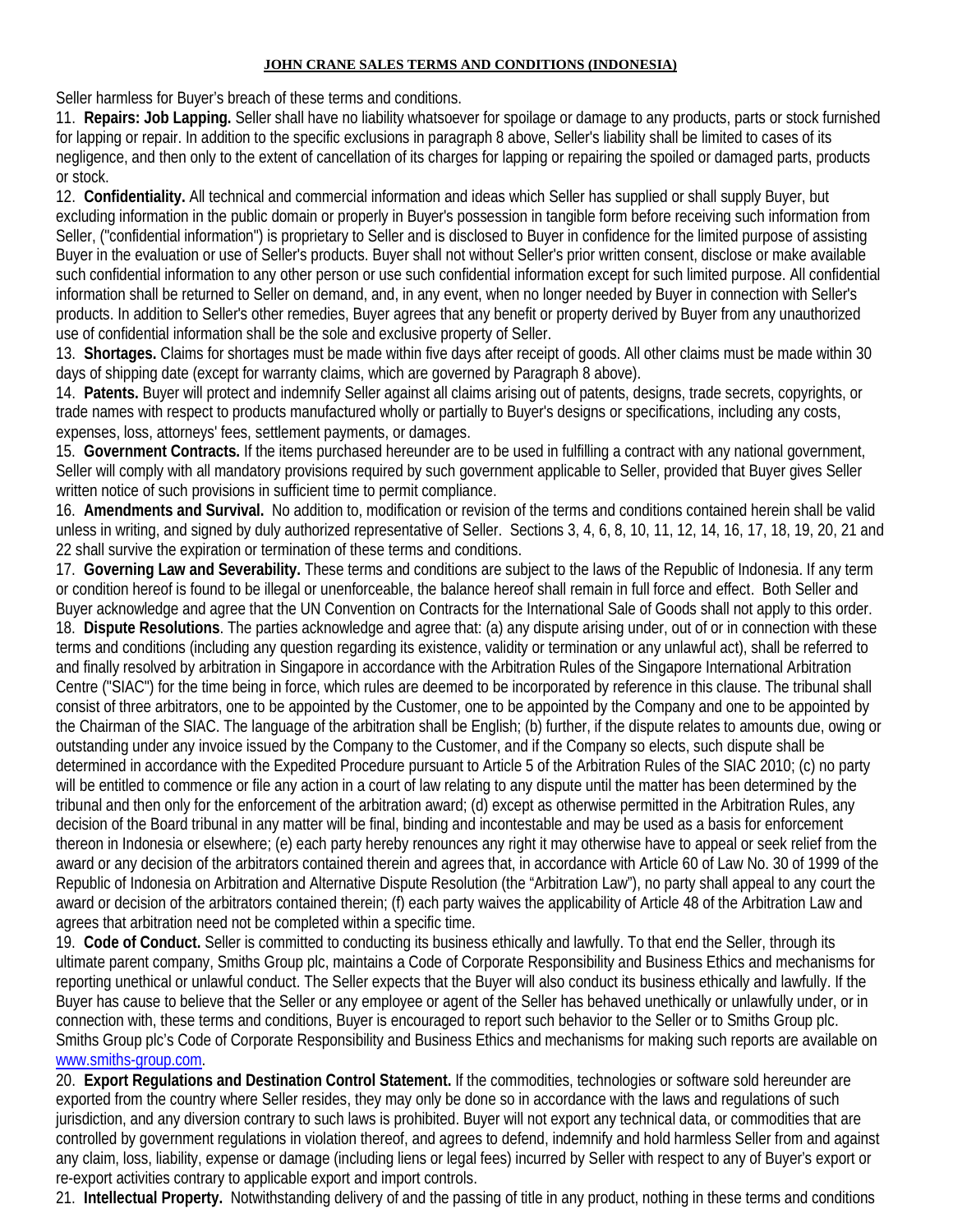## **JOHN CRANE SALES TERMS AND CONDITIONS (INDONESIA)**

Seller harmless for Buyer's breach of these terms and conditions.

11. **Repairs: Job Lapping.** Seller shall have no liability whatsoever for spoilage or damage to any products, parts or stock furnished for lapping or repair. In addition to the specific exclusions in paragraph 8 above, Seller's liability shall be limited to cases of its negligence, and then only to the extent of cancellation of its charges for lapping or repairing the spoiled or damaged parts, products or stock.

12. **Confidentiality.** All technical and commercial information and ideas which Seller has supplied or shall supply Buyer, but excluding information in the public domain or properly in Buyer's possession in tangible form before receiving such information from Seller, ("confidential information") is proprietary to Seller and is disclosed to Buyer in confidence for the limited purpose of assisting Buyer in the evaluation or use of Seller's products. Buyer shall not without Seller's prior written consent, disclose or make available such confidential information to any other person or use such confidential information except for such limited purpose. All confidential information shall be returned to Seller on demand, and, in any event, when no longer needed by Buyer in connection with Seller's products. In addition to Seller's other remedies, Buyer agrees that any benefit or property derived by Buyer from any unauthorized use of confidential information shall be the sole and exclusive property of Seller.

13. **Shortages.** Claims for shortages must be made within five days after receipt of goods. All other claims must be made within 30 days of shipping date (except for warranty claims, which are governed by Paragraph 8 above).

14. **Patents.** Buyer will protect and indemnify Seller against all claims arising out of patents, designs, trade secrets, copyrights, or trade names with respect to products manufactured wholly or partially to Buyer's designs or specifications, including any costs, expenses, loss, attorneys' fees, settlement payments, or damages.

15. **Government Contracts.** If the items purchased hereunder are to be used in fulfilling a contract with any national government, Seller will comply with all mandatory provisions required by such government applicable to Seller, provided that Buyer gives Seller written notice of such provisions in sufficient time to permit compliance.

16. **Amendments and Survival.** No addition to, modification or revision of the terms and conditions contained herein shall be valid unless in writing, and signed by duly authorized representative of Seller. Sections 3, 4, 6, 8, 10, 11, 12, 14, 16, 17, 18, 19, 20, 21 and 22 shall survive the expiration or termination of these terms and conditions.

17. **Governing Law and Severability.** These terms and conditions are subject to the laws of the Republic of Indonesia. If any term or condition hereof is found to be illegal or unenforceable, the balance hereof shall remain in full force and effect. Both Seller and Buyer acknowledge and agree that the UN Convention on Contracts for the International Sale of Goods shall not apply to this order. 18. **Dispute Resolutions**. The parties acknowledge and agree that: (a) any dispute arising under, out of or in connection with these terms and conditions (including any question regarding its existence, validity or termination or any unlawful act), shall be referred to and finally resolved by arbitration in Singapore in accordance with the Arbitration Rules of the Singapore International Arbitration Centre ("SIAC") for the time being in force, which rules are deemed to be incorporated by reference in this clause. The tribunal shall consist of three arbitrators, one to be appointed by the Customer, one to be appointed by the Company and one to be appointed by the Chairman of the SIAC. The language of the arbitration shall be English; (b) further, if the dispute relates to amounts due, owing or outstanding under any invoice issued by the Company to the Customer, and if the Company so elects, such dispute shall be determined in accordance with the Expedited Procedure pursuant to Article 5 of the Arbitration Rules of the SIAC 2010; (c) no party will be entitled to commence or file any action in a court of law relating to any dispute until the matter has been determined by the tribunal and then only for the enforcement of the arbitration award; (d) except as otherwise permitted in the Arbitration Rules, any decision of the Board tribunal in any matter will be final, binding and incontestable and may be used as a basis for enforcement thereon in Indonesia or elsewhere; (e) each party hereby renounces any right it may otherwise have to appeal or seek relief from the award or any decision of the arbitrators contained therein and agrees that, in accordance with Article 60 of Law No. 30 of 1999 of the Republic of Indonesia on Arbitration and Alternative Dispute Resolution (the "Arbitration Law"), no party shall appeal to any court the award or decision of the arbitrators contained therein; (f) each party waives the applicability of Article 48 of the Arbitration Law and agrees that arbitration need not be completed within a specific time.

19. **Code of Conduct.** Seller is committed to conducting its business ethically and lawfully. To that end the Seller, through its ultimate parent company, Smiths Group plc, maintains a Code of Corporate Responsibility and Business Ethics and mechanisms for reporting unethical or unlawful conduct. The Seller expects that the Buyer will also conduct its business ethically and lawfully. If the Buyer has cause to believe that the Seller or any employee or agent of the Seller has behaved unethically or unlawfully under, or in connection with, these terms and conditions, Buyer is encouraged to report such behavior to the Seller or to Smiths Group plc. Smiths Group plc's Code of Corporate Responsibility and Business Ethics and mechanisms for making such reports are available on [www.smiths-group.com.](http://www.smiths-group.com/)

20. **Export Regulations and Destination Control Statement.** If the commodities, technologies or software sold hereunder are exported from the country where Seller resides, they may only be done so in accordance with the laws and regulations of such jurisdiction, and any diversion contrary to such laws is prohibited. Buyer will not export any technical data, or commodities that are controlled by government regulations in violation thereof, and agrees to defend, indemnify and hold harmless Seller from and against any claim, loss, liability, expense or damage (including liens or legal fees) incurred by Seller with respect to any of Buyer's export or re-export activities contrary to applicable export and import controls.

21. **Intellectual Property.** Notwithstanding delivery of and the passing of title in any product, nothing in these terms and conditions